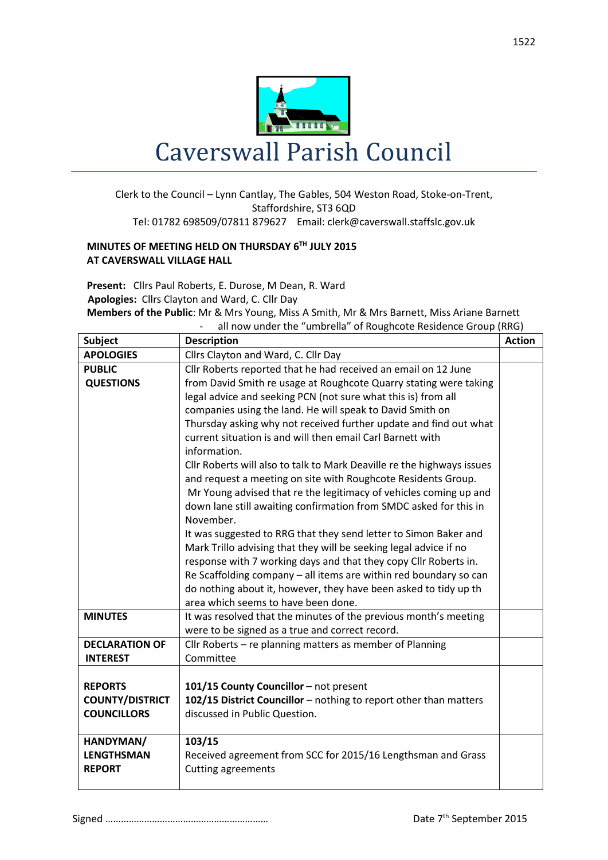

## Caverswall Parish Council

## Clerk to the Council – Lynn Cantlay, The Gables, 504 Weston Road, Stoke-on-Trent, Staffordshire, ST3 6QD Tel: 01782 698509/07811 879627 Email: clerk@caverswall.staffslc.gov.uk

## **MINUTES OF MEETING HELD ON THURSDAY 6 TH JULY 2015 AT CAVERSWALL VILLAGE HALL**

**Present:** Cllrs Paul Roberts, E. Durose, M Dean, R. Ward  **Apologies:** Cllrs Clayton and Ward, C. Cllr Day **Members of the Public**: Mr & Mrs Young, Miss A Smith, Mr & Mrs Barnett, Miss Ariane Barnett

- all now under the "umbrella" of Roughcote Residence Group (RRG)

| <b>Subject</b>         | <b>Description</b>                                                     | <b>Action</b> |
|------------------------|------------------------------------------------------------------------|---------------|
| <b>APOLOGIES</b>       | Cllrs Clayton and Ward, C. Cllr Day                                    |               |
| <b>PUBLIC</b>          | Cllr Roberts reported that he had received an email on 12 June         |               |
| <b>QUESTIONS</b>       | from David Smith re usage at Roughcote Quarry stating were taking      |               |
|                        | legal advice and seeking PCN (not sure what this is) from all          |               |
|                        | companies using the land. He will speak to David Smith on              |               |
|                        | Thursday asking why not received further update and find out what      |               |
|                        | current situation is and will then email Carl Barnett with             |               |
|                        | information.                                                           |               |
|                        | Cllr Roberts will also to talk to Mark Deaville re the highways issues |               |
|                        | and request a meeting on site with Roughcote Residents Group.          |               |
|                        | Mr Young advised that re the legitimacy of vehicles coming up and      |               |
|                        | down lane still awaiting confirmation from SMDC asked for this in      |               |
|                        | November.                                                              |               |
|                        | It was suggested to RRG that they send letter to Simon Baker and       |               |
|                        | Mark Trillo advising that they will be seeking legal advice if no      |               |
|                        | response with 7 working days and that they copy Cllr Roberts in.       |               |
|                        | Re Scaffolding company - all items are within red boundary so can      |               |
|                        | do nothing about it, however, they have been asked to tidy up th       |               |
|                        | area which seems to have been done.                                    |               |
| <b>MINUTES</b>         | It was resolved that the minutes of the previous month's meeting       |               |
|                        | were to be signed as a true and correct record.                        |               |
| <b>DECLARATION OF</b>  | Cllr Roberts – re planning matters as member of Planning               |               |
| <b>INTEREST</b>        | Committee                                                              |               |
|                        |                                                                        |               |
| <b>REPORTS</b>         | 101/15 County Councillor - not present                                 |               |
| <b>COUNTY/DISTRICT</b> | 102/15 District Councillor - nothing to report other than matters      |               |
| <b>COUNCILLORS</b>     | discussed in Public Question.                                          |               |
|                        |                                                                        |               |
| HANDYMAN/              | 103/15                                                                 |               |
| <b>LENGTHSMAN</b>      | Received agreement from SCC for 2015/16 Lengthsman and Grass           |               |
| <b>REPORT</b>          | <b>Cutting agreements</b>                                              |               |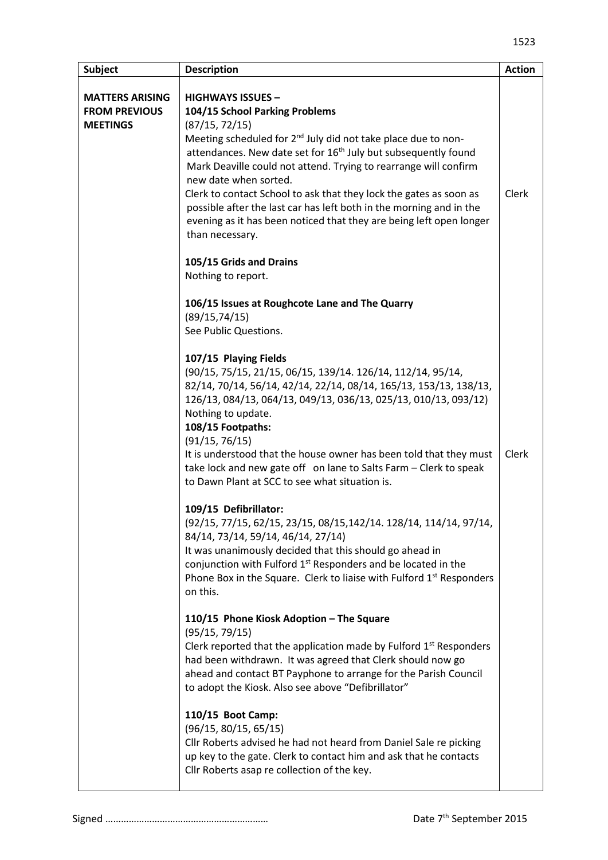| <b>Subject</b>                                                    | <b>Description</b>                                                                                                                                                                                                                                                                                                                                                                                                                                                                                                                                                                                                                                                                                                                                                                                                                                                                                                                                                                                                                                                                                                                                                                                                                                                                                                                                                                                                                                                                                                                  | <b>Action</b> |
|-------------------------------------------------------------------|-------------------------------------------------------------------------------------------------------------------------------------------------------------------------------------------------------------------------------------------------------------------------------------------------------------------------------------------------------------------------------------------------------------------------------------------------------------------------------------------------------------------------------------------------------------------------------------------------------------------------------------------------------------------------------------------------------------------------------------------------------------------------------------------------------------------------------------------------------------------------------------------------------------------------------------------------------------------------------------------------------------------------------------------------------------------------------------------------------------------------------------------------------------------------------------------------------------------------------------------------------------------------------------------------------------------------------------------------------------------------------------------------------------------------------------------------------------------------------------------------------------------------------------|---------------|
| <b>MATTERS ARISING</b><br><b>FROM PREVIOUS</b><br><b>MEETINGS</b> | <b>HIGHWAYS ISSUES -</b><br>104/15 School Parking Problems<br>(87/15, 72/15)<br>Meeting scheduled for 2 <sup>nd</sup> July did not take place due to non-<br>attendances. New date set for 16 <sup>th</sup> July but subsequently found<br>Mark Deaville could not attend. Trying to rearrange will confirm<br>new date when sorted.<br>Clerk to contact School to ask that they lock the gates as soon as<br>possible after the last car has left both in the morning and in the<br>evening as it has been noticed that they are being left open longer<br>than necessary.<br>105/15 Grids and Drains<br>Nothing to report.                                                                                                                                                                                                                                                                                                                                                                                                                                                                                                                                                                                                                                                                                                                                                                                                                                                                                                        | Clerk         |
|                                                                   | 106/15 Issues at Roughcote Lane and The Quarry<br>(89/15,74/15)<br>See Public Questions.<br>107/15 Playing Fields<br>(90/15, 75/15, 21/15, 06/15, 139/14. 126/14, 112/14, 95/14,<br>82/14, 70/14, 56/14, 42/14, 22/14, 08/14, 165/13, 153/13, 138/13,<br>126/13, 084/13, 064/13, 049/13, 036/13, 025/13, 010/13, 093/12)<br>Nothing to update.<br>108/15 Footpaths:<br>(91/15, 76/15)<br>It is understood that the house owner has been told that they must<br>take lock and new gate off on lane to Salts Farm - Clerk to speak<br>to Dawn Plant at SCC to see what situation is.<br>109/15 Defibrillator:<br>(92/15, 77/15, 62/15, 23/15, 08/15, 142/14. 128/14, 114/14, 97/14,<br>84/14, 73/14, 59/14, 46/14, 27/14)<br>It was unanimously decided that this should go ahead in<br>conjunction with Fulford 1 <sup>st</sup> Responders and be located in the<br>Phone Box in the Square. Clerk to liaise with Fulford 1 <sup>st</sup> Responders<br>on this.<br>110/15 Phone Kiosk Adoption - The Square<br>(95/15, 79/15)<br>Clerk reported that the application made by Fulford $1st$ Responders<br>had been withdrawn. It was agreed that Clerk should now go<br>ahead and contact BT Payphone to arrange for the Parish Council<br>to adopt the Kiosk. Also see above "Defibrillator"<br>110/15 Boot Camp:<br>(96/15, 80/15, 65/15)<br>Cllr Roberts advised he had not heard from Daniel Sale re picking<br>up key to the gate. Clerk to contact him and ask that he contacts<br>Cllr Roberts asap re collection of the key. | Clerk         |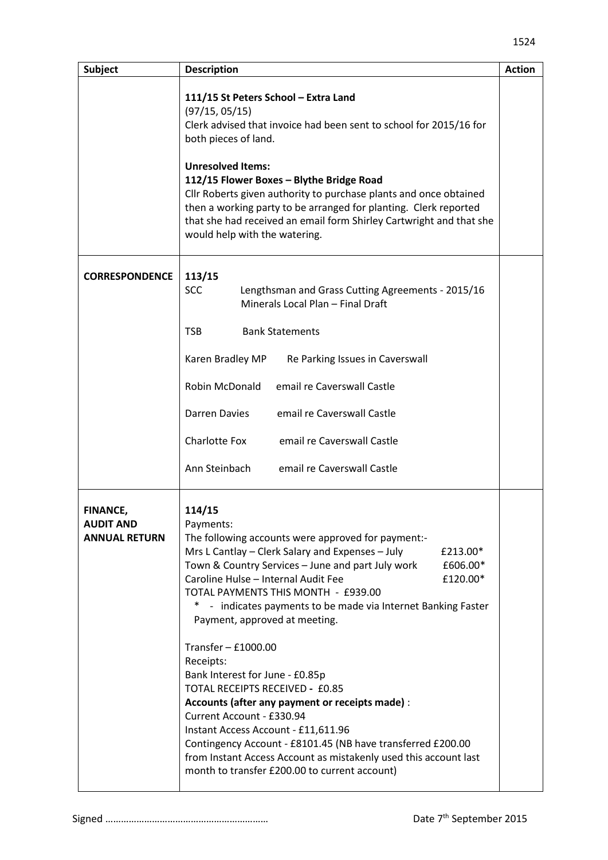| Subject                                                     | <b>Description</b>                                                                                                                                                                                                                                                                                                                                                                                                                                                                                                                                                                                                                                                                                                                                                                                                          | <b>Action</b> |
|-------------------------------------------------------------|-----------------------------------------------------------------------------------------------------------------------------------------------------------------------------------------------------------------------------------------------------------------------------------------------------------------------------------------------------------------------------------------------------------------------------------------------------------------------------------------------------------------------------------------------------------------------------------------------------------------------------------------------------------------------------------------------------------------------------------------------------------------------------------------------------------------------------|---------------|
|                                                             | 111/15 St Peters School - Extra Land<br>(97/15, 05/15)<br>Clerk advised that invoice had been sent to school for 2015/16 for<br>both pieces of land.<br><b>Unresolved Items:</b><br>112/15 Flower Boxes - Blythe Bridge Road<br>Cllr Roberts given authority to purchase plants and once obtained<br>then a working party to be arranged for planting. Clerk reported<br>that she had received an email form Shirley Cartwright and that she<br>would help with the watering.                                                                                                                                                                                                                                                                                                                                               |               |
| <b>CORRESPONDENCE</b>                                       | 113/15<br><b>SCC</b><br>Lengthsman and Grass Cutting Agreements - 2015/16<br>Minerals Local Plan - Final Draft<br><b>TSB</b><br><b>Bank Statements</b><br>Karen Bradley MP<br>Re Parking Issues in Caverswall<br><b>Robin McDonald</b><br>email re Caverswall Castle<br>email re Caverswall Castle<br>Darren Davies<br>Charlotte Fox<br>email re Caverswall Castle<br>Ann Steinbach<br>email re Caverswall Castle                                                                                                                                                                                                                                                                                                                                                                                                           |               |
| <b>FINANCE,</b><br><b>AUDIT AND</b><br><b>ANNUAL RETURN</b> | 114/15<br>Payments:<br>The following accounts were approved for payment:-<br>Mrs L Cantlay - Clerk Salary and Expenses - July<br>£213.00*<br>Town & Country Services - June and part July work<br>£606.00*<br>Caroline Hulse - Internal Audit Fee<br>£120.00*<br>TOTAL PAYMENTS THIS MONTH - £939.00<br>- indicates payments to be made via Internet Banking Faster<br>Payment, approved at meeting.<br>Transfer $-$ £1000.00<br>Receipts:<br>Bank Interest for June - £0.85p<br>TOTAL RECEIPTS RECEIVED - £0.85<br>Accounts (after any payment or receipts made) :<br>Current Account - £330.94<br>Instant Access Account - £11,611.96<br>Contingency Account - £8101.45 (NB have transferred £200.00<br>from Instant Access Account as mistakenly used this account last<br>month to transfer £200.00 to current account) |               |